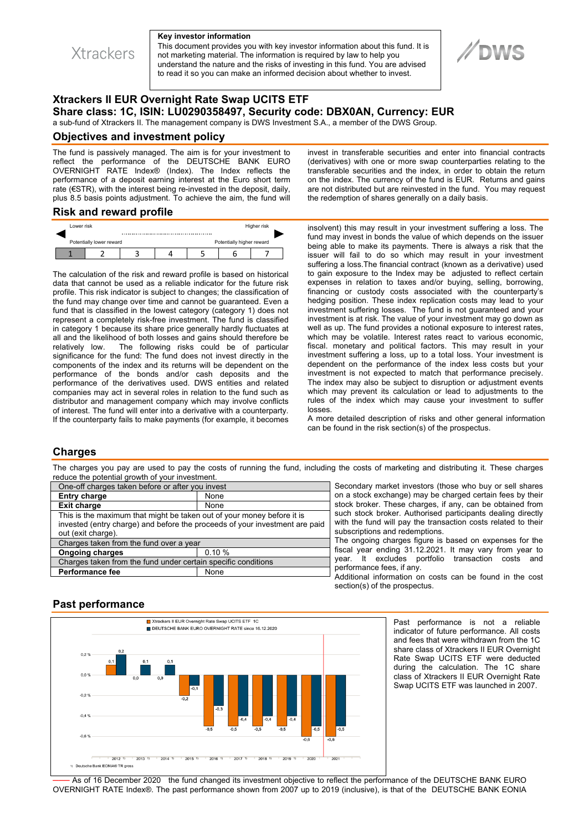

#### **Key investor information**

This document provides you with key investor information about this fund. It is not marketing material. The information is required by law to help you understand the nature and the risks of investing in this fund. You are advised to read it so you can make an informed decision about whether to invest.



# **Xtrackers II EUR Overnight Rate Swap UCITS ETF Share class: 1C, ISIN: LU0290358497, Security code: DBX0AN, Currency: EUR**

a sub-fund of Xtrackers II. The management company is DWS Investment S.A., a member of the DWS Group.

### **Objectives and investment policy**

The fund is passively managed. The aim is for your investment to reflect the performance of the DEUTSCHE BANK EURO OVERNIGHT RATE Index® (Index). The Index reflects the performance of a deposit earning interest at the Euro short term rate (€STR), with the interest being re-invested in the deposit, daily, plus 8.5 basis points adjustment. To achieve the aim, the fund will

### **Risk and reward profile**

|                          | Lower risk |  |                           |  |  | Higher risk |  |  |
|--------------------------|------------|--|---------------------------|--|--|-------------|--|--|
|                          |            |  |                           |  |  |             |  |  |
| Potentially lower reward |            |  | Potentially higher reward |  |  |             |  |  |
|                          |            |  |                           |  |  |             |  |  |

The calculation of the risk and reward profile is based on historical data that cannot be used as a reliable indicator for the future risk profile. This risk indicator is subject to changes; the classification of the fund may change over time and cannot be guaranteed. Even a fund that is classified in the lowest category (category 1) does not represent a completely risk-free investment. The fund is classified in category 1 because its share price generally hardly fluctuates at all and the likelihood of both losses and gains should therefore be relatively low. The following risks could be of particular significance for the fund: The fund does not invest directly in the components of the index and its returns will be dependent on the performance of the bonds and/or cash deposits and the performance of the derivatives used. DWS entities and related companies may act in several roles in relation to the fund such as distributor and management company which may involve conflicts of interest. The fund will enter into a derivative with a counterparty. If the counterparty fails to make payments (for example, it becomes

invest in transferable securities and enter into financial contracts (derivatives) with one or more swap counterparties relating to the transferable securities and the index, in order to obtain the return on the index. The currency of the fund is EUR. Returns and gains are not distributed but are reinvested in the fund. You may request the redemption of shares generally on a daily basis.

insolvent) this may result in your investment suffering a loss. The fund may invest in bonds the value of which depends on the issuer being able to make its payments. There is always a risk that the issuer will fail to do so which may result in your investment suffering a loss.The financial contract (known as a derivative) used to gain exposure to the Index may be adjusted to reflect certain expenses in relation to taxes and/or buying, selling, borrowing, financing or custody costs associated with the counterparty's hedging position. These index replication costs may lead to your investment suffering losses. The fund is not guaranteed and your investment is at risk. The value of your investment may go down as well as up. The fund provides a notional exposure to interest rates, which may be volatile. Interest rates react to various economic, fiscal. monetary and political factors. This may result in your investment suffering a loss, up to a total loss. Your investment is dependent on the performance of the index less costs but your investment is not expected to match that performance precisely. The index may also be subject to disruption or adjustment events which may prevent its calculation or lead to adjustments to the rules of the index which may cause your investment to suffer losses.

A more detailed description of risks and other general information can be found in the risk section(s) of the prospectus.

## **Charges**

The charges you pay are used to pay the costs of running the fund, including the costs of marketing and distributing it. These charges reduce the potential growth of your investment.

| One-off charges taken before or after you invest                            |       |  |  |  |  |  |
|-----------------------------------------------------------------------------|-------|--|--|--|--|--|
| <b>Entry charge</b>                                                         | None  |  |  |  |  |  |
| <b>Exit charge</b>                                                          | None  |  |  |  |  |  |
| This is the maximum that might be taken out of your money before it is      |       |  |  |  |  |  |
| invested (entry charge) and before the proceeds of your investment are paid |       |  |  |  |  |  |
| out (exit charge).                                                          |       |  |  |  |  |  |
| Charges taken from the fund over a year                                     |       |  |  |  |  |  |
| <b>Ongoing charges</b>                                                      | 0.10% |  |  |  |  |  |
| Charges taken from the fund under certain specific conditions               |       |  |  |  |  |  |
| <b>Performance fee</b>                                                      | None  |  |  |  |  |  |
|                                                                             |       |  |  |  |  |  |

Secondary market investors (those who buy or sell shares on a stock exchange) may be charged certain fees by their stock broker. These charges, if any, can be obtained from such stock broker. Authorised participants dealing directly with the fund will pay the transaction costs related to their subscriptions and redemptions.

The ongoing charges figure is based on expenses for the fiscal year ending 31.12.2021. It may vary from year to year. It excludes portfolio transaction costs and performance fees, if any.

Additional information on costs can be found in the cost section(s) of the prospectus.

# **Past performance**



Past performance is not a reliable indicator of future performance. All costs and fees that were withdrawn from the 1C share class of Xtrackers II EUR Overnight Rate Swap UCITS ETF were deducted during the calculation. The 1C share class of Xtrackers II EUR Overnight Rate Swap UCITS ETF was launched in 2007.

As of 16 December 2020 the fund changed its investment objective to reflect the performance of the DEUTSCHE BANK EURO OVERNIGHT RATE Index®. The past performance shown from 2007 up to 2019 (inclusive), is that of the DEUTSCHE BANK EONIA